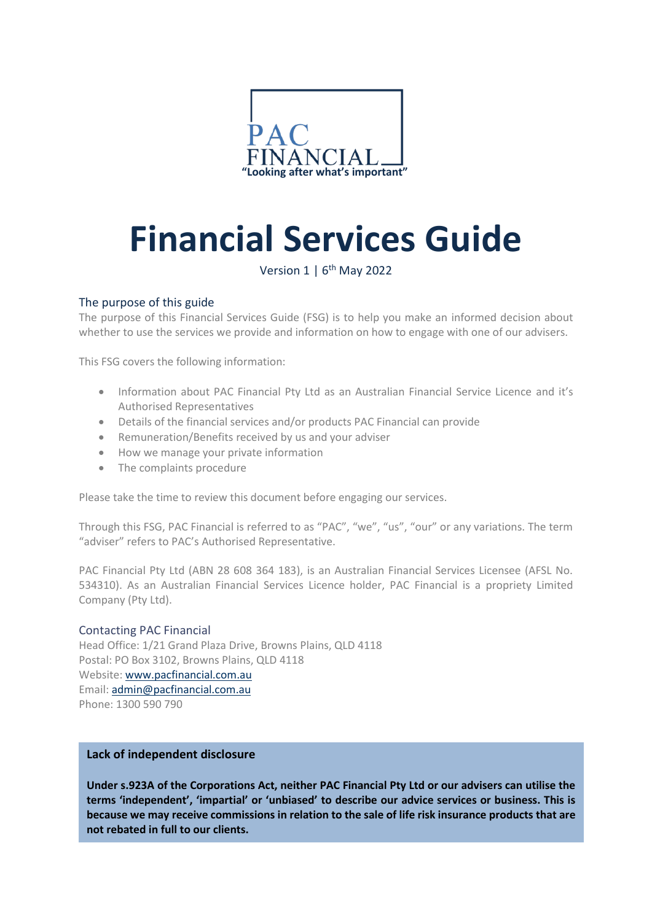

# **Financial Services Guide**

Version  $1 \mid 6^{th}$  May 2022

# The purpose of this guide

The purpose of this Financial Services Guide (FSG) is to help you make an informed decision about whether to use the services we provide and information on how to engage with one of our advisers.

This FSG covers the following information:

- Information about PAC Financial Pty Ltd as an Australian Financial Service Licence and it's Authorised Representatives
- Details of the financial services and/or products PAC Financial can provide
- Remuneration/Benefits received by us and your adviser
- How we manage your private information
- The complaints procedure

Please take the time to review this document before engaging our services.

Through this FSG, PAC Financial is referred to as "PAC", "we", "us", "our" or any variations. The term "adviser" refers to PAC's Authorised Representative.

PAC Financial Pty Ltd (ABN 28 608 364 183), is an Australian Financial Services Licensee (AFSL No. 534310). As an Australian Financial Services Licence holder, PAC Financial is a propriety Limited Company (Pty Ltd).

## Contacting PAC Financial

Head Office: 1/21 Grand Plaza Drive, Browns Plains, QLD 4118 Postal: PO Box 3102, Browns Plains, QLD 4118 Website[: www.pacfinancial.com.au](http://www.pacfinancial.com.au/) Email: [admin@pacfinancial.com.au](mailto:admin@pacfinancial.com.au) Phone: 1300 590 790

## **Lack of independent disclosure**

**Under s.923A of the Corporations Act, neither PAC Financial Pty Ltd or our advisers can utilise the terms 'independent', 'impartial' or 'unbiased' to describe our advice services or business. This is because we may receive commissions in relation to the sale of life risk insurance products that are not rebated in full to our clients.**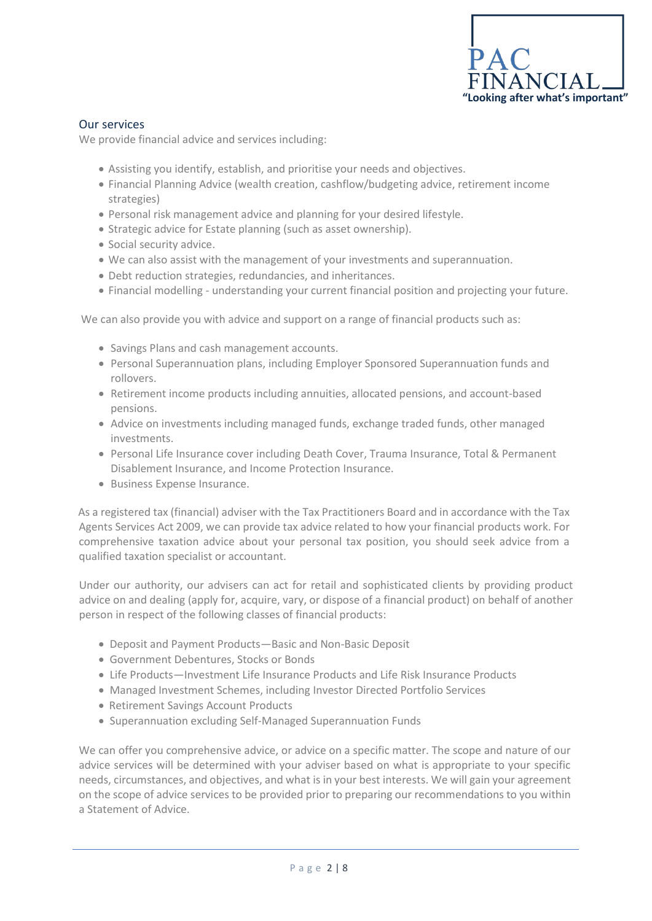

## Our services

We provide financial advice and services including:

- Assisting you identify, establish, and prioritise your needs and objectives.
- Financial Planning Advice (wealth creation, cashflow/budgeting advice, retirement income strategies)
- Personal risk management advice and planning for your desired lifestyle.
- Strategic advice for Estate planning (such as asset ownership).
- Social security advice.
- We can also assist with the management of your investments and superannuation.
- Debt reduction strategies, redundancies, and inheritances.
- Financial modelling understanding your current financial position and projecting your future.

We can also provide you with advice and support on a range of financial products such as:

- Savings Plans and cash management accounts.
- Personal Superannuation plans, including Employer Sponsored Superannuation funds and rollovers.
- Retirement income products including annuities, allocated pensions, and account-based pensions.
- Advice on investments including managed funds, exchange traded funds, other managed investments.
- Personal Life Insurance cover including Death Cover, Trauma Insurance, Total & Permanent Disablement Insurance, and Income Protection Insurance.
- Business Expense Insurance.

As a registered tax (financial) adviser with the Tax Practitioners Board and in accordance with the Tax Agents Services Act 2009, we can provide tax advice related to how your financial products work. For comprehensive taxation advice about your personal tax position, you should seek advice from a qualified taxation specialist or accountant.

Under our authority, our advisers can act for retail and sophisticated clients by providing product advice on and dealing (apply for, acquire, vary, or dispose of a financial product) on behalf of another person in respect of the following classes of financial products:

- Deposit and Payment Products—Basic and Non-Basic Deposit
- Government Debentures, Stocks or Bonds
- Life Products—Investment Life Insurance Products and Life Risk Insurance Products
- Managed Investment Schemes, including Investor Directed Portfolio Services
- Retirement Savings Account Products
- Superannuation excluding Self-Managed Superannuation Funds

We can offer you comprehensive advice, or advice on a specific matter. The scope and nature of our advice services will be determined with your adviser based on what is appropriate to your specific needs, circumstances, and objectives, and what is in your best interests. We will gain your agreement on the scope of advice services to be provided prior to preparing our recommendations to you within a Statement of Advice.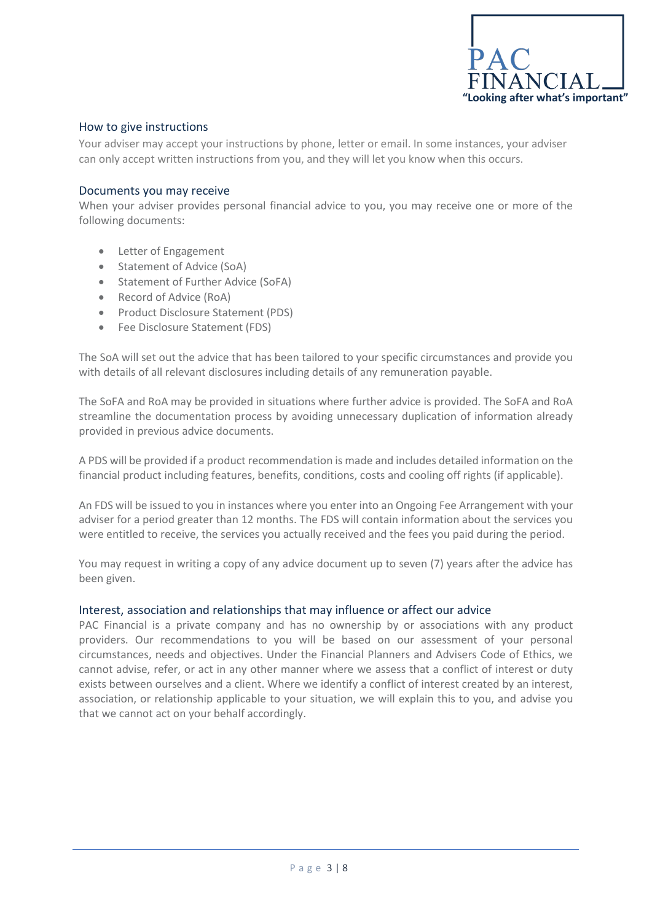

## How to give instructions

Your adviser may accept your instructions by phone, letter or email. In some instances, your adviser can only accept written instructions from you, and they will let you know when this occurs.

#### Documents you may receive

When your adviser provides personal financial advice to you, you may receive one or more of the following documents:

- Letter of Engagement
- Statement of Advice (SoA)
- Statement of Further Advice (SoFA)
- Record of Advice (RoA)
- Product Disclosure Statement (PDS)
- Fee Disclosure Statement (FDS)

The SoA will set out the advice that has been tailored to your specific circumstances and provide you with details of all relevant disclosures including details of any remuneration payable.

The SoFA and RoA may be provided in situations where further advice is provided. The SoFA and RoA streamline the documentation process by avoiding unnecessary duplication of information already provided in previous advice documents.

A PDS will be provided if a product recommendation is made and includes detailed information on the financial product including features, benefits, conditions, costs and cooling off rights (if applicable).

An FDS will be issued to you in instances where you enter into an Ongoing Fee Arrangement with your adviser for a period greater than 12 months. The FDS will contain information about the services you were entitled to receive, the services you actually received and the fees you paid during the period.

You may request in writing a copy of any advice document up to seven (7) years after the advice has been given.

#### Interest, association and relationships that may influence or affect our advice

PAC Financial is a private company and has no ownership by or associations with any product providers. Our recommendations to you will be based on our assessment of your personal circumstances, needs and objectives. Under the Financial Planners and Advisers Code of Ethics, we cannot advise, refer, or act in any other manner where we assess that a conflict of interest or duty exists between ourselves and a client. Where we identify a conflict of interest created by an interest, association, or relationship applicable to your situation, we will explain this to you, and advise you that we cannot act on your behalf accordingly.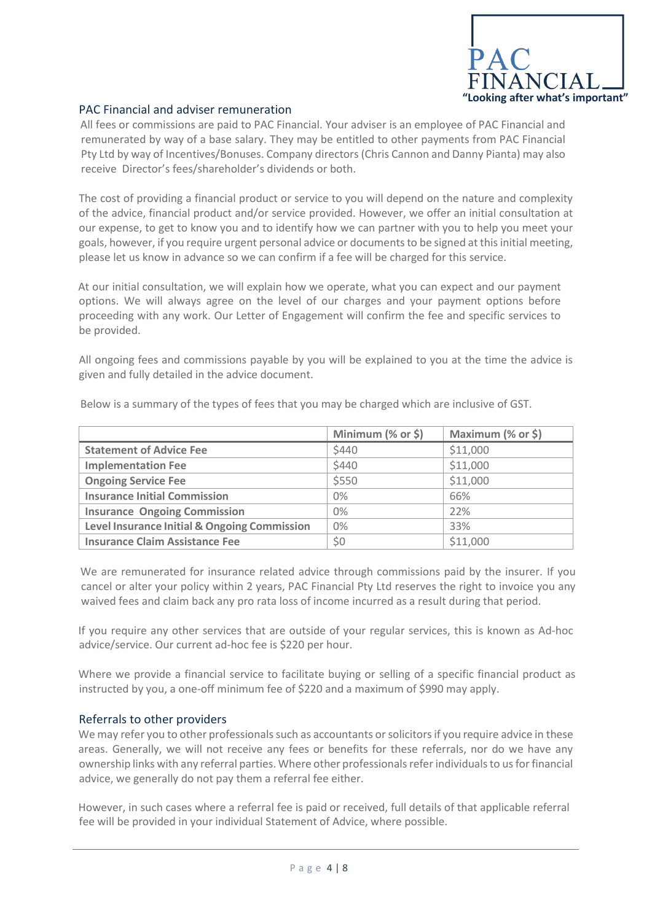

## PAC Financial and adviser remuneration

All fees or commissions are paid to PAC Financial. Your adviser is an employee of PAC Financial and remunerated by way of a base salary. They may be entitled to other payments from PAC Financial Pty Ltd by way of Incentives/Bonuses. Company directors (Chris Cannon and Danny Pianta) may also receive Director's fees/shareholder's dividends or both.

The cost of providing a financial product or service to you will depend on the nature and complexity of the advice, financial product and/or service provided. However, we offer an initial consultation at our expense, to get to know you and to identify how we can partner with you to help you meet your goals, however, if you require urgent personal advice or documents to be signed at this initial meeting, please let us know in advance so we can confirm if a fee will be charged for this service.

At our initial consultation, we will explain how we operate, what you can expect and our payment options. We will always agree on the level of our charges and your payment options before proceeding with any work. Our Letter of Engagement will confirm the fee and specific services to be provided.

All ongoing fees and commissions payable by you will be explained to you at the time the advice is given and fully detailed in the advice document.

|                                              | Minimum (% or \$) | Maximum (% or \$) |
|----------------------------------------------|-------------------|-------------------|
| <b>Statement of Advice Fee</b>               | \$440             | \$11,000          |
| <b>Implementation Fee</b>                    | \$440             | \$11,000          |
| <b>Ongoing Service Fee</b>                   | \$550             | \$11,000          |
| <b>Insurance Initial Commission</b>          | $0\%$             | 66%               |
| <b>Insurance Ongoing Commission</b>          | $0\%$             | 22%               |
| Level Insurance Initial & Ongoing Commission | $0\%$             | 33%               |
| <b>Insurance Claim Assistance Fee</b>        | \$0               | \$11,000          |

Below is a summary of the types of fees that you may be charged which are inclusive of GST.

We are remunerated for insurance related advice through commissions paid by the insurer. If you cancel or alter your policy within 2 years, PAC Financial Pty Ltd reserves the right to invoice you any waived fees and claim back any pro rata loss of income incurred as a result during that period.

If you require any other services that are outside of your regular services, this is known as Ad-hoc advice/service. Our current ad-hoc fee is \$220 per hour.

Where we provide a financial service to facilitate buying or selling of a specific financial product as instructed by you, a one-off minimum fee of \$220 and a maximum of \$990 may apply.

## Referrals to other providers

We may refer you to other professionals such as accountants or solicitors if you require advice in these areas. Generally, we will not receive any fees or benefits for these referrals, nor do we have any ownership links with any referral parties. Where other professionals refer individuals to us for financial advice, we generally do not pay them a referral fee either.

However, in such cases where a referral fee is paid or received, full details of that applicable referral fee will be provided in your individual Statement of Advice, where possible.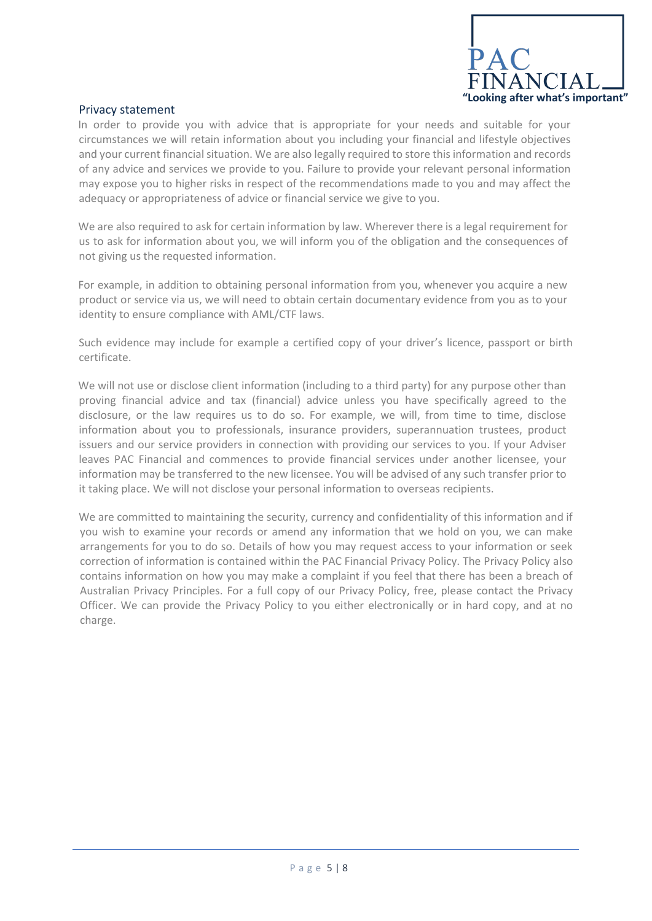

## Privacy statement

In order to provide you with advice that is appropriate for your needs and suitable for your circumstances we will retain information about you including your financial and lifestyle objectives and your current financial situation. We are also legally required to store this information and records of any advice and services we provide to you. Failure to provide your relevant personal information may expose you to higher risks in respect of the recommendations made to you and may affect the adequacy or appropriateness of advice or financial service we give to you.

We are also required to ask for certain information by law. Wherever there is a legal requirement for us to ask for information about you, we will inform you of the obligation and the consequences of not giving us the requested information.

For example, in addition to obtaining personal information from you, whenever you acquire a new product or service via us, we will need to obtain certain documentary evidence from you as to your identity to ensure compliance with AML/CTF laws.

Such evidence may include for example a certified copy of your driver's licence, passport or birth certificate.

We will not use or disclose client information (including to a third party) for any purpose other than proving financial advice and tax (financial) advice unless you have specifically agreed to the disclosure, or the law requires us to do so. For example, we will, from time to time, disclose information about you to professionals, insurance providers, superannuation trustees, product issuers and our service providers in connection with providing our services to you. If your Adviser leaves PAC Financial and commences to provide financial services under another licensee, your information may be transferred to the new licensee. You will be advised of any such transfer prior to it taking place. We will not disclose your personal information to overseas recipients.

We are committed to maintaining the security, currency and confidentiality of this information and if you wish to examine your records or amend any information that we hold on you, we can make arrangements for you to do so. Details of how you may request access to your information or seek correction of information is contained within the PAC Financial Privacy Policy. The Privacy Policy also contains information on how you may make a complaint if you feel that there has been a breach of Australian Privacy Principles. For a full copy of our Privacy Policy, free, please contact the Privacy Officer. We can provide the Privacy Policy to you either electronically or in hard copy, and at no charge.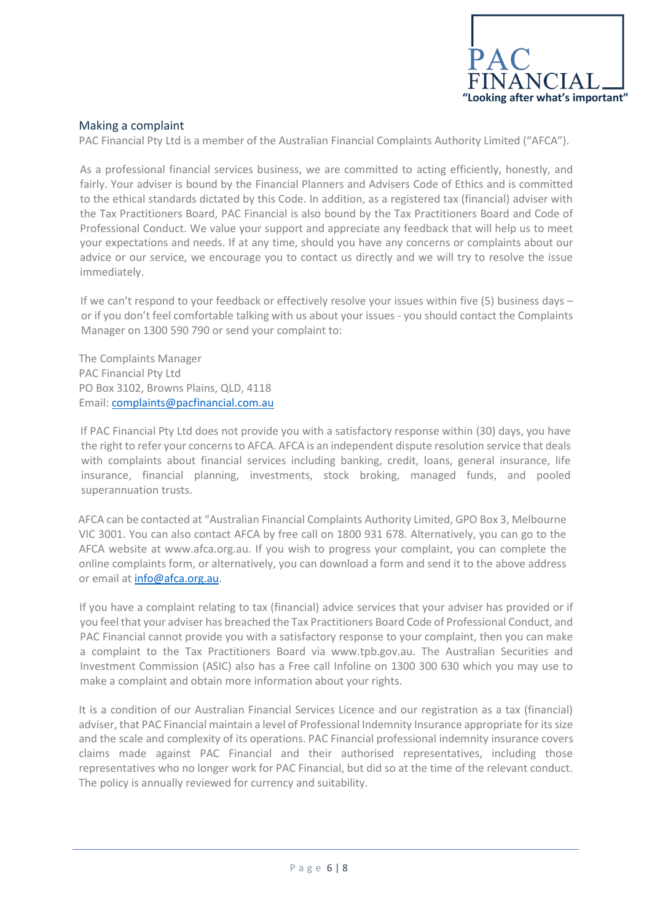

# Making a complaint

PAC Financial Pty Ltd is a member of the Australian Financial Complaints Authority Limited ("AFCA").

As a professional financial services business, we are committed to acting efficiently, honestly, and fairly. Your adviser is bound by the Financial Planners and Advisers Code of Ethics and is committed to the ethical standards dictated by this Code. In addition, as a registered tax (financial) adviser with the Tax Practitioners Board, PAC Financial is also bound by the Tax Practitioners Board and Code of Professional Conduct. We value your support and appreciate any feedback that will help us to meet your expectations and needs. If at any time, should you have any concerns or complaints about our advice or our service, we encourage you to contact us directly and we will try to resolve the issue immediately.

If we can't respond to your feedback or effectively resolve your issues within five (5) business days – or if you don't feel comfortable talking with us about your issues - you should contact the Complaints Manager on 1300 590 790 or send your complaint to:

The Complaints Manager PAC Financial Pty Ltd PO Box 3102, Browns Plains, QLD, 4118 Email: [complaints@pacfinancial.com.au](mailto:complaints@pacfinancial.com.au)

If PAC Financial Pty Ltd does not provide you with a satisfactory response within (30) days, you have the right to refer your concerns to AFCA. AFCA is an independent dispute resolution service that deals with complaints about financial services including banking, credit, loans, general insurance, life insurance, financial planning, investments, stock broking, managed funds, and pooled superannuation trusts.

AFCA can be contacted at "Australian Financial Complaints Authority Limited, GPO Box 3, Melbourne VIC 3001. You can also contact AFCA by free call on 1800 931 678. Alternatively, you can go to the AFCA website at www.afca.org.au. If you wish to progress your complaint, you can complete the online complaints form, or alternatively, you can download a form and send it to the above address or email a[t info@afca.org.au.](mailto:info@afca.org.au)

If you have a complaint relating to tax (financial) advice services that your adviser has provided or if you feel that your adviser has breached the Tax Practitioners Board Code of Professional Conduct, and PAC Financial cannot provide you with a satisfactory response to your complaint, then you can make a complaint to the Tax Practitioners Board via www.tpb.gov.au. The Australian Securities and Investment Commission (ASIC) also has a Free call Infoline on 1300 300 630 which you may use to make a complaint and obtain more information about your rights.

It is a condition of our Australian Financial Services Licence and our registration as a tax (financial) adviser, that PAC Financial maintain a level of Professional Indemnity Insurance appropriate for its size and the scale and complexity of its operations. PAC Financial professional indemnity insurance covers claims made against PAC Financial and their authorised representatives, including those representatives who no longer work for PAC Financial, but did so at the time of the relevant conduct. The policy is annually reviewed for currency and suitability.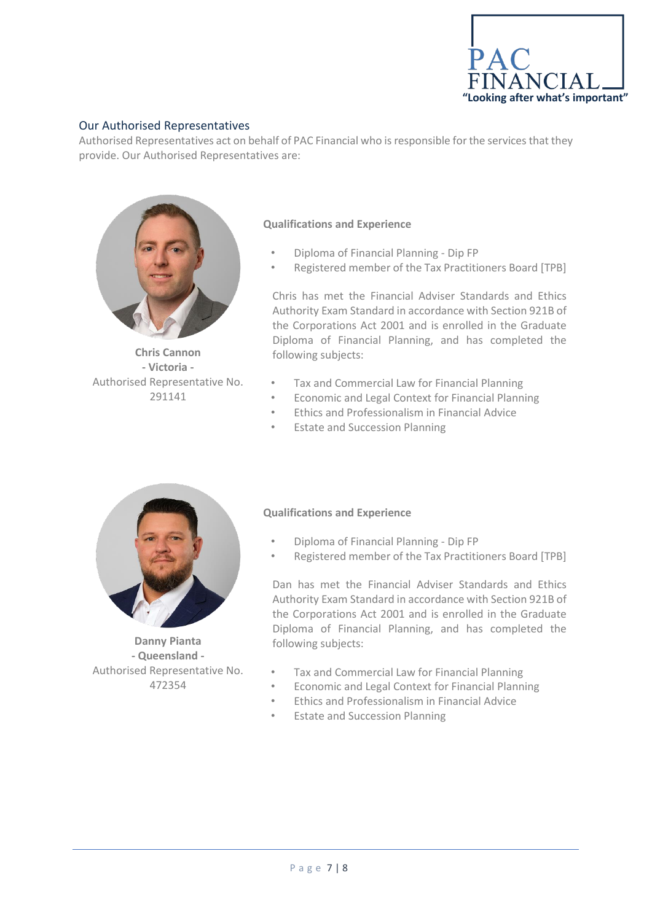

# Our Authorised Representatives

Authorised Representatives act on behalf of PAC Financial who is responsible for the services that they provide. Our Authorised Representatives are:



**Chris Cannon - Victoria -** Authorised Representative No. 291141

## **Qualifications and Experience**

- Diploma of Financial Planning Dip FP
- Registered member of the Tax Practitioners Board [TPB]

Chris has met the Financial Adviser Standards and Ethics Authority Exam Standard in accordance with Section 921B of the Corporations Act 2001 and is enrolled in the Graduate Diploma of Financial Planning, and has completed the following subjects:

- Tax and Commercial Law for Financial Planning
- Economic and Legal Context for Financial Planning
- Ethics and Professionalism in Financial Advice
- **Estate and Succession Planning**



**Danny Pianta - Queensland -** Authorised Representative No. 472354

#### **Qualifications and Experience**

- Diploma of Financial Planning Dip FP
- Registered member of the Tax Practitioners Board [TPB]

Dan has met the Financial Adviser Standards and Ethics Authority Exam Standard in accordance with Section 921B of the Corporations Act 2001 and is enrolled in the Graduate Diploma of Financial Planning, and has completed the following subjects:

- Tax and Commercial Law for Financial Planning
- Economic and Legal Context for Financial Planning
- Ethics and Professionalism in Financial Advice
- **Estate and Succession Planning**